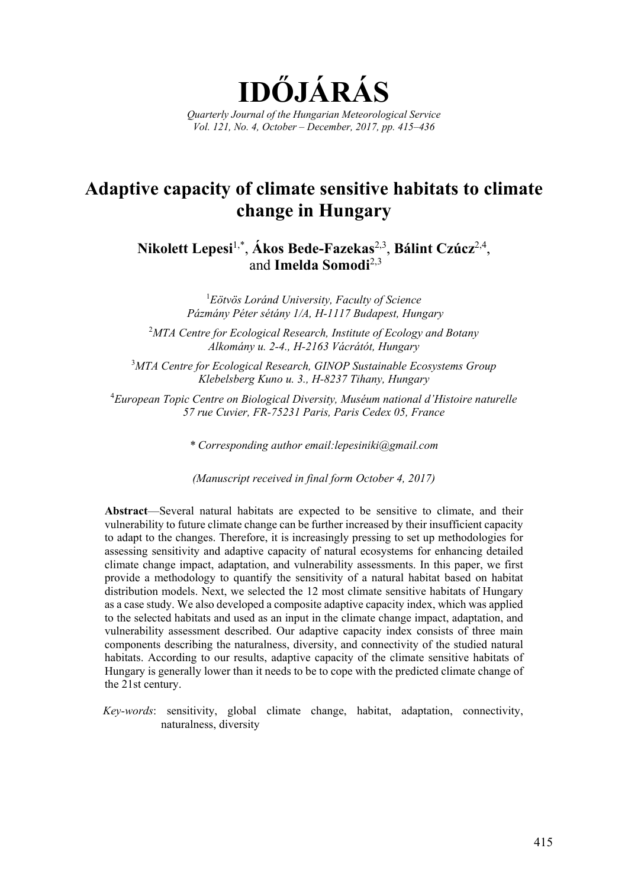

# **Adaptive capacity of climate sensitive habitats to climate change in Hungary**

**Nikolett Lepesi**1,\*, **Ákos Bede-Fazekas**2,3, **Bálint Czúcz**2,4, and **Imelda Somodi**2,3

> 1 *Eötvös Loránd University, Faculty of Science Pázmány Péter sétány 1/A, H-1117 Budapest, Hungary*

2 *MTA Centre for Ecological Research, Institute of Ecology and Botany Alkomány u. 2-4., H-2163 Vácrátót, Hungary*

3 *MTA Centre for Ecological Research, GINOP Sustainable Ecosystems Group Klebelsberg Kuno u. 3., H-8237 Tihany, Hungary*

4 *European Topic Centre on Biological Diversity, Muséum national d'Histoire naturelle 57 rue Cuvier, FR-75231 Paris, Paris Cedex 05, France*

*\* Corresponding author email:lepesiniki@gmail.com* 

*(Manuscript received in final form October 4, 2017)* 

**Abstract**—Several natural habitats are expected to be sensitive to climate, and their vulnerability to future climate change can be further increased by their insufficient capacity to adapt to the changes. Therefore, it is increasingly pressing to set up methodologies for assessing sensitivity and adaptive capacity of natural ecosystems for enhancing detailed climate change impact, adaptation, and vulnerability assessments. In this paper, we first provide a methodology to quantify the sensitivity of a natural habitat based on habitat distribution models. Next, we selected the 12 most climate sensitive habitats of Hungary as a case study. We also developed a composite adaptive capacity index, which was applied to the selected habitats and used as an input in the climate change impact, adaptation, and vulnerability assessment described. Our adaptive capacity index consists of three main components describing the naturalness, diversity, and connectivity of the studied natural habitats. According to our results, adaptive capacity of the climate sensitive habitats of Hungary is generally lower than it needs to be to cope with the predicted climate change of the 21st century.

*Key-words*: sensitivity, global climate change, habitat, adaptation, connectivity, naturalness, diversity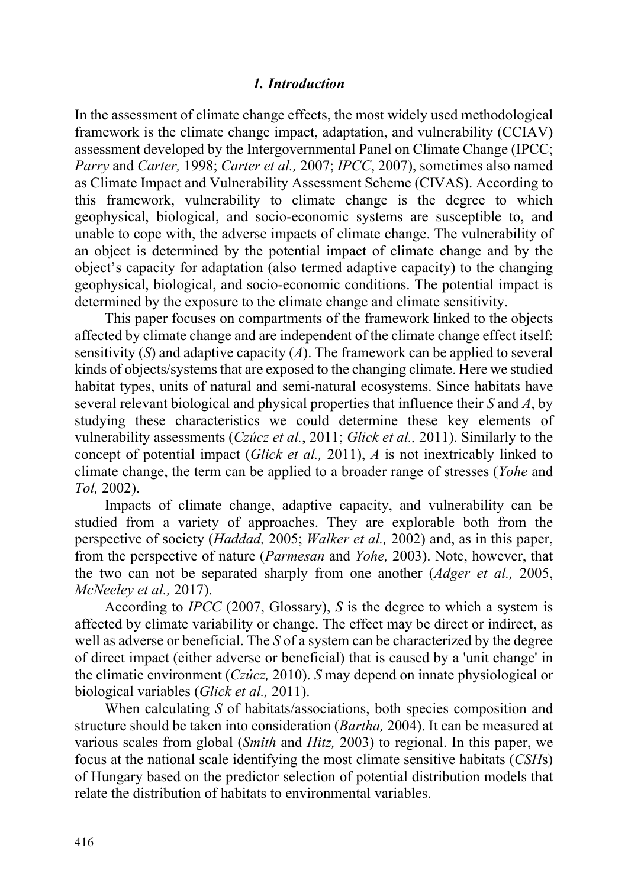## *1. Introduction*

In the assessment of climate change effects, the most widely used methodological framework is the climate change impact, adaptation, and vulnerability (CCIAV) assessment developed by the Intergovernmental Panel on Climate Change (IPCC; *Parry* and *Carter,* 1998; *Carter et al.,* 2007; *IPCC*, 2007), sometimes also named as Climate Impact and Vulnerability Assessment Scheme (CIVAS). According to this framework, vulnerability to climate change is the degree to which geophysical, biological, and socio-economic systems are susceptible to, and unable to cope with, the adverse impacts of climate change. The vulnerability of an object is determined by the potential impact of climate change and by the object's capacity for adaptation (also termed adaptive capacity) to the changing geophysical, biological, and socio-economic conditions. The potential impact is determined by the exposure to the climate change and climate sensitivity.

This paper focuses on compartments of the framework linked to the objects affected by climate change and are independent of the climate change effect itself: sensitivity (*S*) and adaptive capacity (*A*). The framework can be applied to several kinds of objects/systems that are exposed to the changing climate. Here we studied habitat types, units of natural and semi-natural ecosystems. Since habitats have several relevant biological and physical properties that influence their *S* and *A*, by studying these characteristics we could determine these key elements of vulnerability assessments (*Czúcz et al.*, 2011; *Glick et al.,* 2011). Similarly to the concept of potential impact (*Glick et al.,* 2011), *A* is not inextricably linked to climate change, the term can be applied to a broader range of stresses (*Yohe* and *Tol,* 2002).

Impacts of climate change, adaptive capacity, and vulnerability can be studied from a variety of approaches. They are explorable both from the perspective of society (*Haddad,* 2005; *Walker et al.,* 2002) and, as in this paper, from the perspective of nature (*Parmesan* and *Yohe,* 2003). Note, however, that the two can not be separated sharply from one another (*Adger et al.,* 2005, *McNeeley et al.,* 2017).

According to *IPCC* (2007, Glossary), *S* is the degree to which a system is affected by climate variability or change. The effect may be direct or indirect, as well as adverse or beneficial. The *S* of a system can be characterized by the degree of direct impact (either adverse or beneficial) that is caused by a 'unit change' in the climatic environment (*Czúcz,* 2010). *S* may depend on innate physiological or biological variables (*Glick et al.,* 2011).

When calculating *S* of habitats/associations, both species composition and structure should be taken into consideration (*Bartha,* 2004). It can be measured at various scales from global (*Smith* and *Hitz,* 2003) to regional. In this paper, we focus at the national scale identifying the most climate sensitive habitats (*CSH*s) of Hungary based on the predictor selection of potential distribution models that relate the distribution of habitats to environmental variables.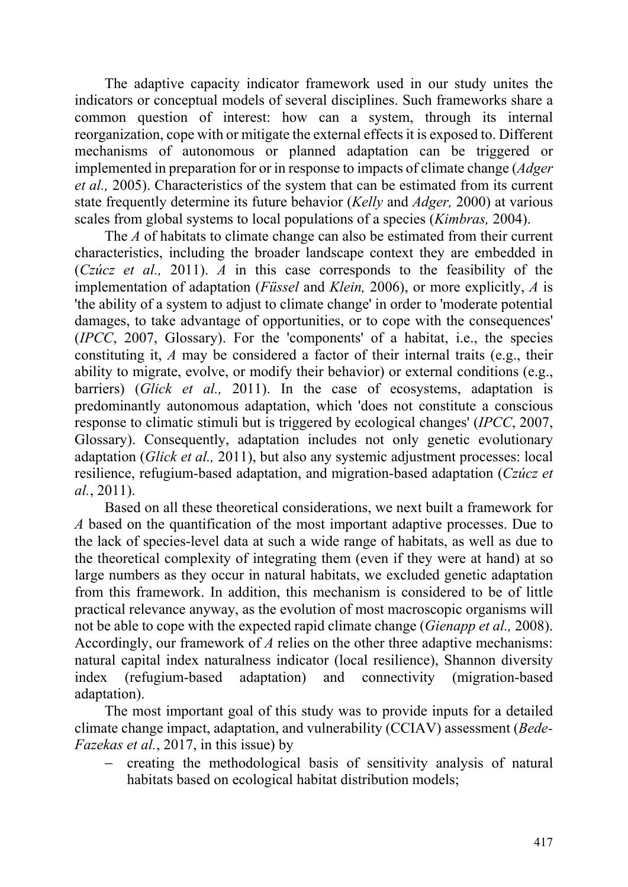The adaptive capacity indicator framework used in our study unites the indicators or conceptual models of several disciplines. Such frameworks share a common question of interest: how can a system, through its internal reorganization, cope with or mitigate the external effects it is exposed to. Different mechanisms of autonomous or planned adaptation can be triggered or implemented in preparation for or in response to impacts of climate change (*Adger et al.,* 2005). Characteristics of the system that can be estimated from its current state frequently determine its future behavior (*Kelly* and *Adger,* 2000) at various scales from global systems to local populations of a species (*Kimbras,* 2004).

The *A* of habitats to climate change can also be estimated from their current characteristics, including the broader landscape context they are embedded in (*Czúcz et al.,* 2011). *A* in this case corresponds to the feasibility of the implementation of adaptation (*Füssel* and *Klein,* 2006), or more explicitly, *A* is 'the ability of a system to adjust to climate change' in order to 'moderate potential damages, to take advantage of opportunities, or to cope with the consequences' (*IPCC*, 2007, Glossary). For the 'components' of a habitat, i.e., the species constituting it, *A* may be considered a factor of their internal traits (e.g., their ability to migrate, evolve, or modify their behavior) or external conditions (e.g., barriers) (*Glick et al.,* 2011). In the case of ecosystems, adaptation is predominantly autonomous adaptation, which 'does not constitute a conscious response to climatic stimuli but is triggered by ecological changes' (*IPCC*, 2007, Glossary). Consequently, adaptation includes not only genetic evolutionary adaptation (*Glick et al.,* 2011), but also any systemic adjustment processes: local resilience, refugium-based adaptation, and migration-based adaptation (*Czúcz et al.*, 2011).

Based on all these theoretical considerations, we next built a framework for *A* based on the quantification of the most important adaptive processes. Due to the lack of species-level data at such a wide range of habitats, as well as due to the theoretical complexity of integrating them (even if they were at hand) at so large numbers as they occur in natural habitats, we excluded genetic adaptation from this framework. In addition, this mechanism is considered to be of little practical relevance anyway, as the evolution of most macroscopic organisms will not be able to cope with the expected rapid climate change (*Gienapp et al.,* 2008). Accordingly, our framework of *A* relies on the other three adaptive mechanisms: natural capital index naturalness indicator (local resilience), Shannon diversity index (refugium-based adaptation) and connectivity (migration-based adaptation).

The most important goal of this study was to provide inputs for a detailed climate change impact, adaptation, and vulnerability (CCIAV) assessment (*Bede-Fazekas et al.*, 2017, in this issue) by

− creating the methodological basis of sensitivity analysis of natural habitats based on ecological habitat distribution models;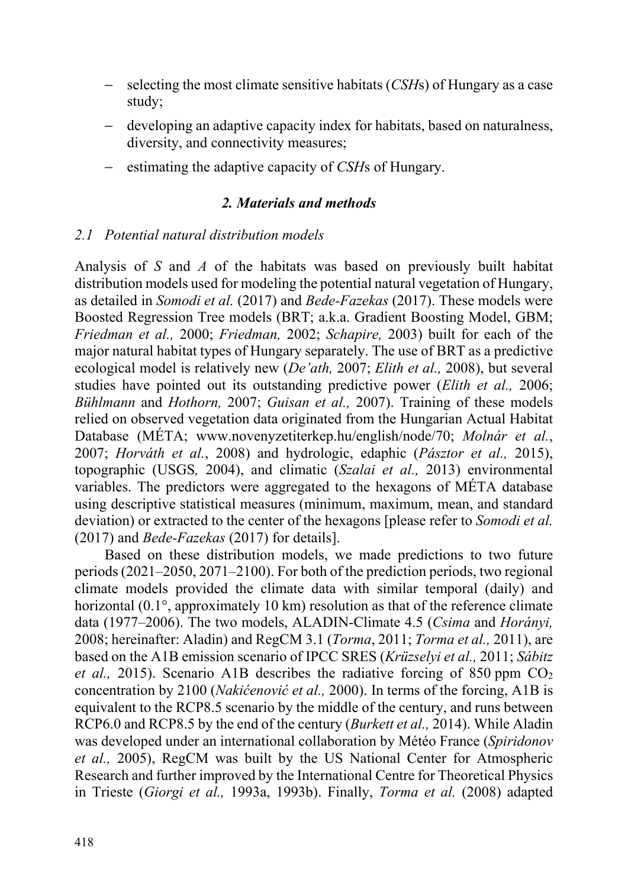- selecting the most climate sensitive habitats (*CSH*s) of Hungary as a case study;
- − developing an adaptive capacity index for habitats, based on naturalness, diversity, and connectivity measures;
- − estimating the adaptive capacity of *CSH*s of Hungary.

# *2. Materials and methods*

# *2.1 Potential natural distribution models*

Analysis of *S* and *A* of the habitats was based on previously built habitat distribution models used for modeling the potential natural vegetation of Hungary, as detailed in *Somodi et al.* (2017) and *Bede-Fazekas* (2017). These models were Boosted Regression Tree models (BRT; a.k.a. Gradient Boosting Model, GBM; *Friedman et al.,* 2000; *Friedman,* 2002; *Schapire,* 2003) built for each of the major natural habitat types of Hungary separately. The use of BRT as a predictive ecological model is relatively new (*De'ath,* 2007; *Elith et al.,* 2008), but several studies have pointed out its outstanding predictive power (*Elith et al.,* 2006; *Bühlmann* and *Hothorn,* 2007; *Guisan et al.,* 2007). Training of these models relied on observed vegetation data originated from the Hungarian Actual Habitat Database (MÉTA; www.novenyzetiterkep.hu/english/node/70; *Molnár et al.*, 2007; *Horváth et al.*, 2008) and hydrologic, edaphic (*Pásztor et al.,* 2015), topographic (USGS*,* 2004), and climatic (*Szalai et al.,* 2013) environmental variables. The predictors were aggregated to the hexagons of MÉTA database using descriptive statistical measures (minimum, maximum, mean, and standard deviation) or extracted to the center of the hexagons [please refer to *Somodi et al.* (2017) and *Bede-Fazekas* (2017) for details].

Based on these distribution models, we made predictions to two future periods (2021–2050, 2071–2100). For both of the prediction periods, two regional climate models provided the climate data with similar temporal (daily) and horizontal (0.1°, approximately 10 km) resolution as that of the reference climate data (1977–2006). The two models, ALADIN-Climate 4.5 (*Csima* and *Horányi,* 2008; hereinafter: Aladin) and RegCM 3.1 (*Torma*, 2011; *Torma et al.,* 2011), are based on the A1B emission scenario of IPCC SRES (*Krüzselyi et al.,* 2011; *Sábitz et al.*, 2015). Scenario A1B describes the radiative forcing of 850 ppm  $CO<sub>2</sub>$ concentration by 2100 (*Nakićenović et al.,* 2000). In terms of the forcing, A1B is equivalent to the RCP8.5 scenario by the middle of the century, and runs between RCP6.0 and RCP8.5 by the end of the century (*Burkett et al.,* 2014). While Aladin was developed under an international collaboration by Météo France (*Spiridonov et al.,* 2005), RegCM was built by the US National Center for Atmospheric Research and further improved by the International Centre for Theoretical Physics in Trieste (*Giorgi et al.,* 1993a, 1993b). Finally, *Torma et al.* (2008) adapted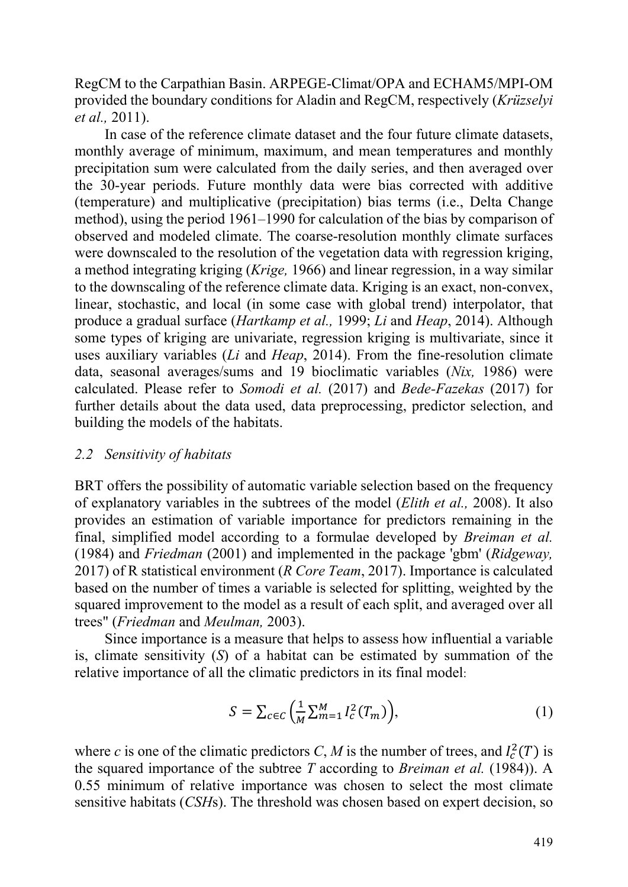RegCM to the Carpathian Basin. ARPEGE-Climat/OPA and ECHAM5/MPI-OM provided the boundary conditions for Aladin and RegCM, respectively (*Krüzselyi et al.,* 2011).

In case of the reference climate dataset and the four future climate datasets, monthly average of minimum, maximum, and mean temperatures and monthly precipitation sum were calculated from the daily series, and then averaged over the 30-year periods. Future monthly data were bias corrected with additive (temperature) and multiplicative (precipitation) bias terms (i.e., Delta Change method), using the period 1961–1990 for calculation of the bias by comparison of observed and modeled climate. The coarse-resolution monthly climate surfaces were downscaled to the resolution of the vegetation data with regression kriging, a method integrating kriging (*Krige,* 1966) and linear regression, in a way similar to the downscaling of the reference climate data. Kriging is an exact, non-convex, linear, stochastic, and local (in some case with global trend) interpolator, that produce a gradual surface (*Hartkamp et al.,* 1999; *Li* and *Heap*, 2014). Although some types of kriging are univariate, regression kriging is multivariate, since it uses auxiliary variables (*Li* and *Heap*, 2014). From the fine-resolution climate data, seasonal averages/sums and 19 bioclimatic variables (*Nix,* 1986) were calculated. Please refer to *Somodi et al.* (2017) and *Bede-Fazekas* (2017) for further details about the data used, data preprocessing, predictor selection, and building the models of the habitats.

# *2.2 Sensitivity of habitats*

BRT offers the possibility of automatic variable selection based on the frequency of explanatory variables in the subtrees of the model (*Elith et al.,* 2008). It also provides an estimation of variable importance for predictors remaining in the final, simplified model according to a formulae developed by *Breiman et al.* (1984) and *Friedman* (2001) and implemented in the package 'gbm' (*Ridgeway,* 2017) of R statistical environment (*R Core Team*, 2017). Importance is calculated based on the number of times a variable is selected for splitting, weighted by the squared improvement to the model as a result of each split, and averaged over all trees" (*Friedman* and *Meulman,* 2003).

Since importance is a measure that helps to assess how influential a variable is, climate sensitivity (*S*) of a habitat can be estimated by summation of the relative importance of all the climatic predictors in its final model:

$$
S = \sum_{c \in C} \left( \frac{1}{M} \sum_{m=1}^{M} I_c^2(T_m) \right), \tag{1}
$$

where *c* is one of the climatic predictors *C*, *M* is the number of trees, and  $I_c^2(T)$  is the squared importance of the subtree *T* according to *Breiman et al.* (1984)). A 0.55 minimum of relative importance was chosen to select the most climate sensitive habitats (*CSH*s). The threshold was chosen based on expert decision, so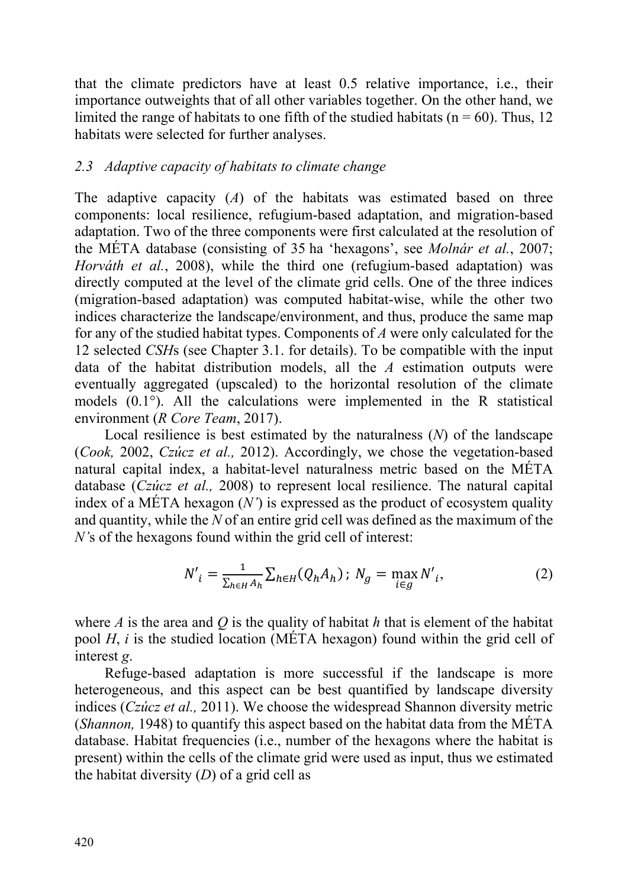that the climate predictors have at least 0.5 relative importance, i.e., their importance outweights that of all other variables together. On the other hand, we limited the range of habitats to one fifth of the studied habitats ( $n = 60$ ). Thus, 12 habitats were selected for further analyses.

# *2.3 Adaptive capacity of habitats to climate change*

The adaptive capacity (*A*) of the habitats was estimated based on three components: local resilience, refugium-based adaptation, and migration-based adaptation. Two of the three components were first calculated at the resolution of the MÉTA database (consisting of 35 ha 'hexagons', see *Molnár et al.*, 2007; *Horváth et al.*, 2008), while the third one (refugium-based adaptation) was directly computed at the level of the climate grid cells. One of the three indices (migration-based adaptation) was computed habitat-wise, while the other two indices characterize the landscape/environment, and thus, produce the same map for any of the studied habitat types. Components of *A* were only calculated for the 12 selected *CSH*s (see Chapter 3.1. for details). To be compatible with the input data of the habitat distribution models, all the *A* estimation outputs were eventually aggregated (upscaled) to the horizontal resolution of the climate models (0.1°). All the calculations were implemented in the R statistical environment (*R Core Team*, 2017).

Local resilience is best estimated by the naturalness (*N*) of the landscape (*Cook,* 2002, *Czúcz et al.,* 2012). Accordingly, we chose the vegetation-based natural capital index, a habitat-level naturalness metric based on the MÉTA database (*Czúcz et al.,* 2008) to represent local resilience. The natural capital index of a MÉTA hexagon (*N'*) is expressed as the product of ecosystem quality and quantity, while the *N* of an entire grid cell was defined as the maximum of the *N'*s of the hexagons found within the grid cell of interest:

$$
N'_{i} = \frac{1}{\sum_{h \in H} A_h} \sum_{h \in H} (Q_h A_h); N_g = \max_{i \in g} N'_{i}, \qquad (2)
$$

where *A* is the area and *Q* is the quality of habitat *h* that is element of the habitat pool *H*, *i* is the studied location (MÉTA hexagon) found within the grid cell of interest *g*.

Refuge-based adaptation is more successful if the landscape is more heterogeneous, and this aspect can be best quantified by landscape diversity indices (*Czúcz et al.,* 2011). We choose the widespread Shannon diversity metric (*Shannon,* 1948) to quantify this aspect based on the habitat data from the MÉTA database. Habitat frequencies (i.e., number of the hexagons where the habitat is present) within the cells of the climate grid were used as input, thus we estimated the habitat diversity (*D*) of a grid cell as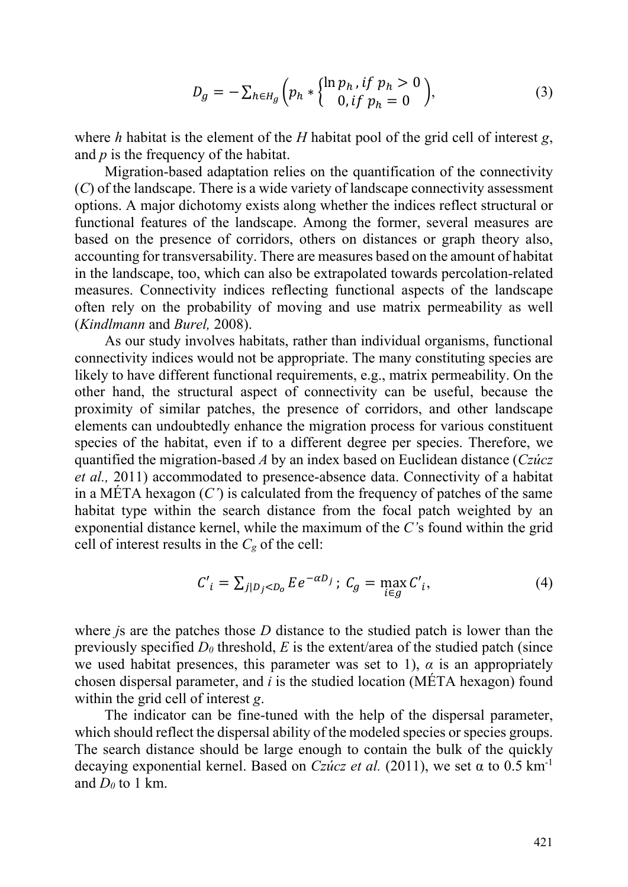$$
D_g = -\sum_{h \in H_g} \left( p_h * \begin{cases} \ln p_h, & \text{if } p_h > 0 \\ 0, & \text{if } p_h = 0 \end{cases} \right), \tag{3}
$$

where *h* habitat is the element of the *H* habitat pool of the grid cell of interest *g*, and *p* is the frequency of the habitat.

Migration-based adaptation relies on the quantification of the connectivity (*C*) of the landscape. There is a wide variety of landscape connectivity assessment options. A major dichotomy exists along whether the indices reflect structural or functional features of the landscape. Among the former, several measures are based on the presence of corridors, others on distances or graph theory also, accounting for transversability. There are measures based on the amount of habitat in the landscape, too, which can also be extrapolated towards percolation-related measures. Connectivity indices reflecting functional aspects of the landscape often rely on the probability of moving and use matrix permeability as well (*Kindlmann* and *Burel,* 2008).

As our study involves habitats, rather than individual organisms, functional connectivity indices would not be appropriate. The many constituting species are likely to have different functional requirements, e.g., matrix permeability. On the other hand, the structural aspect of connectivity can be useful, because the proximity of similar patches, the presence of corridors, and other landscape elements can undoubtedly enhance the migration process for various constituent species of the habitat, even if to a different degree per species. Therefore, we quantified the migration-based *A* by an index based on Euclidean distance (*Czúcz et al.,* 2011) accommodated to presence-absence data. Connectivity of a habitat in a MÉTA hexagon  $(C')$  is calculated from the frequency of patches of the same habitat type within the search distance from the focal patch weighted by an exponential distance kernel, while the maximum of the *C'*s found within the grid cell of interest results in the  $C_g$  of the cell:

$$
C'_{i} = \sum_{j|D_j < D_0} E e^{-\alpha D_j}; \ C_g = \max_{i \in g} C'_{i}, \tag{4}
$$

where *j*s are the patches those *D* distance to the studied patch is lower than the previously specified  $D_0$  threshold,  $E$  is the extent/area of the studied patch (since we used habitat presences, this parameter was set to 1),  $\alpha$  is an appropriately chosen dispersal parameter, and *i* is the studied location (MÉTA hexagon) found within the grid cell of interest *g*.

The indicator can be fine-tuned with the help of the dispersal parameter, which should reflect the dispersal ability of the modeled species or species groups. The search distance should be large enough to contain the bulk of the quickly decaying exponential kernel. Based on *Czúcz et al.* (2011), we set  $\alpha$  to 0.5 km<sup>-1</sup> and  $D_0$  to 1 km.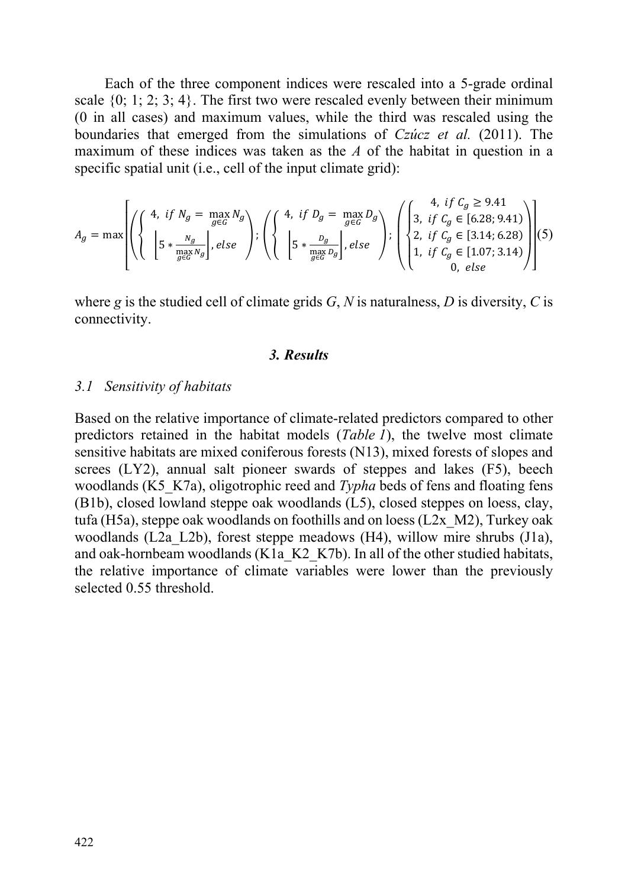Each of the three component indices were rescaled into a 5-grade ordinal scale  $\{0; 1; 2; 3; 4\}$ . The first two were rescaled evenly between their minimum (0 in all cases) and maximum values, while the third was rescaled using the boundaries that emerged from the simulations of *Czúcz et al.* (2011). The maximum of these indices was taken as the *A* of the habitat in question in a specific spatial unit (i.e., cell of the input climate grid):

$$
A_g = \max \left[ \left( \left\{ \begin{array}{c} 4, & \text{if } N_g = \max_{g \in G} N_g \\ \left[ 5 * \frac{N_g}{\max_{g \in G} N_g} \right], & \text{else} \end{array} \right\} \right) \right] \left\{ \left( \left\{ \begin{array}{c} 4, & \text{if } D_g = \max_{g \in G} D_g \\ \left[ 5 * \frac{D_g}{\max_{g \in G} D_g} \right], & \text{else} \end{array} \right\} \right) \right\} \right] \left\{ \left( \left\{ \begin{array}{c} 4, & \text{if } C_g \geq 9.41 \\ 2, & \text{if } C_g \in [3.14; 6.28) \\ 1, & \text{if } C_g \in [3.14; 6.28) \\ 0, & \text{else} \end{array} \right) \right\} \right] \left( 5 \right)
$$

where *g* is the studied cell of climate grids  $G$ ,  $N$  is naturalness,  $D$  is diversity,  $C$  is connectivity.

### *3. Results*

### *3.1 Sensitivity of habitats*

Based on the relative importance of climate-related predictors compared to other predictors retained in the habitat models (*Table 1*), the twelve most climate sensitive habitats are mixed coniferous forests (N13), mixed forests of slopes and screes (LY2), annual salt pioneer swards of steppes and lakes (F5), beech woodlands (K5<sub>K7a)</sub>, oligotrophic reed and *Typha* beds of fens and floating fens (B1b), closed lowland steppe oak woodlands (L5), closed steppes on loess, clay, tufa (H5a), steppe oak woodlands on foothills and on loess (L2x\_M2), Turkey oak woodlands (L2a\_L2b), forest steppe meadows (H4), willow mire shrubs (J1a), and oak-hornbeam woodlands (K1a\_K2\_K7b). In all of the other studied habitats, the relative importance of climate variables were lower than the previously selected 0.55 threshold.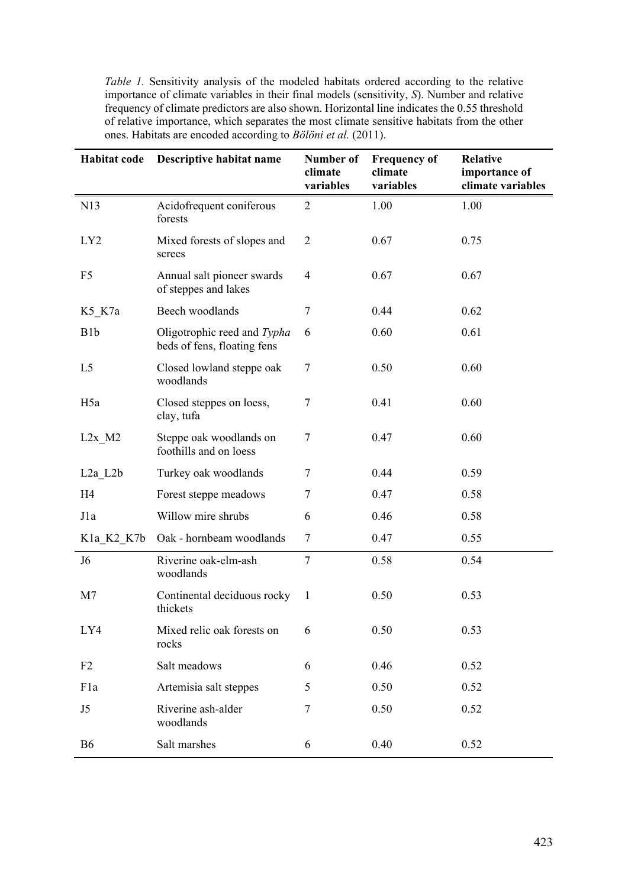*Table 1.* Sensitivity analysis of the modeled habitats ordered according to the relative importance of climate variables in their final models (sensitivity, *S*). Number and relative frequency of climate predictors are also shown. Horizontal line indicates the 0.55 threshold of relative importance, which separates the most climate sensitive habitats from the other ones. Habitats are encoded according to *Bölöni et al.* (2011).

| Habitat code          | Descriptive habitat name                                   | <b>Number of</b><br>climate<br>variables | <b>Frequency of</b><br>climate<br>variables | <b>Relative</b><br>importance of<br>climate variables |
|-----------------------|------------------------------------------------------------|------------------------------------------|---------------------------------------------|-------------------------------------------------------|
| N13                   | Acidofrequent coniferous<br>forests                        | $\overline{2}$                           | 1.00                                        | 1.00                                                  |
| LY <sub>2</sub>       | Mixed forests of slopes and<br>screes                      | $\overline{2}$                           | 0.67                                        | 0.75                                                  |
| F <sub>5</sub>        | Annual salt pioneer swards<br>of steppes and lakes         | $\overline{4}$                           | 0.67                                        | 0.67                                                  |
| $K5_K7a$              | Beech woodlands                                            | 7                                        | 0.44                                        | 0.62                                                  |
| B <sub>1</sub> b      | Oligotrophic reed and Typha<br>beds of fens, floating fens | 6                                        | 0.60                                        | 0.61                                                  |
| L <sub>5</sub>        | Closed lowland steppe oak<br>woodlands                     | 7                                        | 0.50                                        | 0.60                                                  |
| H <sub>5</sub> a      | Closed steppes on loess,<br>clay, tufa                     | 7                                        | 0.41                                        | 0.60                                                  |
| $L2x$ M2              | Steppe oak woodlands on<br>foothills and on loess          | 7                                        | 0.47                                        | 0.60                                                  |
| $L2a$ <sub>L2</sub> b | Turkey oak woodlands                                       | 7                                        | 0.44                                        | 0.59                                                  |
| H <sub>4</sub>        | Forest steppe meadows                                      | 7                                        | 0.47                                        | 0.58                                                  |
| J1a                   | Willow mire shrubs                                         | 6                                        | 0.46                                        | 0.58                                                  |
| K1a_K2_K7b            | Oak - hornbeam woodlands                                   | $\boldsymbol{7}$                         | 0.47                                        | 0.55                                                  |
| J <sub>6</sub>        | Riverine oak-elm-ash<br>woodlands                          | $\boldsymbol{7}$                         | 0.58                                        | 0.54                                                  |
| M7                    | Continental deciduous rocky<br>thickets                    | 1                                        | 0.50                                        | 0.53                                                  |
| LY4                   | Mixed relic oak forests on<br>rocks                        | 6                                        | 0.50                                        | 0.53                                                  |
| F <sub>2</sub>        | Salt meadows                                               | 6                                        | 0.46                                        | 0.52                                                  |
| F1a                   | Artemisia salt steppes                                     | 5                                        | 0.50                                        | 0.52                                                  |
| J5                    | Riverine ash-alder<br>woodlands                            | 7                                        | 0.50                                        | 0.52                                                  |
| <b>B6</b>             | Salt marshes                                               | 6                                        | 0.40                                        | 0.52                                                  |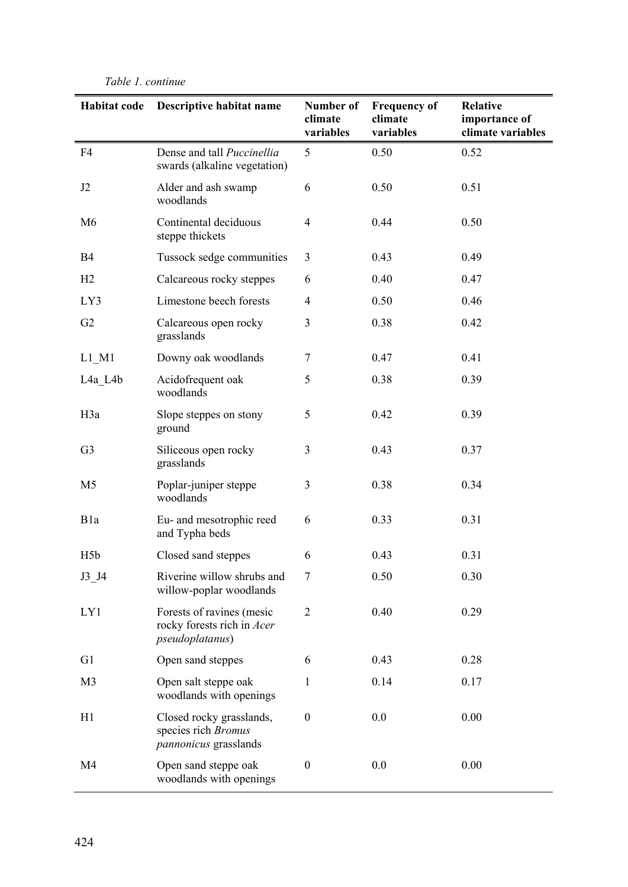#### **Habitat code Descriptive habitat name Number of climate variables Frequency of climate variables Relative importance of climate variables**  F4 Dense and tall *Puccinellia* swards (alkaline vegetation) 5 0.50 0.52 J2 Alder and ash swamp woodlands 6 0.50 0.51 M6 Continental deciduous steppe thickets 4 0.44 0.50 B4 Tussock sedge communities 3 0.43 0.49 H<sub>2</sub> Calcareous rocky steppes 6 0.40 0.47 LY3 Limestone beech forests 4 0.50 0.46 G<sub>2</sub> Calcareous open rocky grasslands 3 0.38 0.42 L1 M1 Downy oak woodlands 7 0.47 0.41 L4a L4b Acidofrequent oak woodlands 5 0.38 0.39 H3a Slope steppes on stony ground 5 0.42 0.39 G3 Siliceous open rocky grasslands 3 0.43 0.37 M5 Poplar-juniper steppe woodlands 3 0.38 0.34 B1a Eu- and mesotrophic reed and Typha beds 6 0.33 0.31 H5b Closed sand steppes 6 0.43 0.31 J3 J4 Riverine willow shrubs and willow-poplar woodlands 7 0.50 0.30 LY1 Forests of ravines (mesic rocky forests rich in *Acer pseudoplatanus*) 2 0.40 0.29 G1 Open sand steppes 6 0.43 0.28 M3 Open salt steppe oak woodlands with openings 1 0.14 0.17 H1 Closed rocky grasslands, species rich *Bromus pannonicus* grasslands 0 0.0 0.00 M4 Open sand steppe oak woodlands with openings 0 0.0 0.00

#### *Table 1. continue*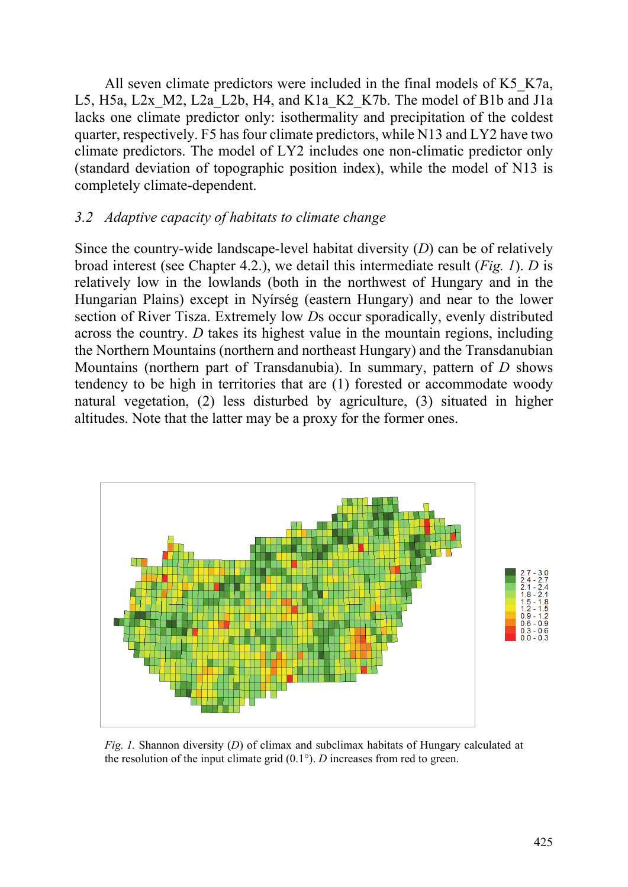All seven climate predictors were included in the final models of K5 K7a, L5, H5a, L2x M2, L2a L2b, H4, and K1a K2 K7b. The model of B1b and J1a lacks one climate predictor only: isothermality and precipitation of the coldest quarter, respectively. F5 has four climate predictors, while N13 and LY2 have two climate predictors. The model of LY2 includes one non-climatic predictor only (standard deviation of topographic position index), while the model of N13 is completely climate-dependent.

# *3.2 Adaptive capacity of habitats to climate change*

Since the country-wide landscape-level habitat diversity (*D*) can be of relatively broad interest (see Chapter 4.2.), we detail this intermediate result (*Fig. 1*). *D* is relatively low in the lowlands (both in the northwest of Hungary and in the Hungarian Plains) except in Nyírség (eastern Hungary) and near to the lower section of River Tisza. Extremely low *D*s occur sporadically, evenly distributed across the country. *D* takes its highest value in the mountain regions, including the Northern Mountains (northern and northeast Hungary) and the Transdanubian Mountains (northern part of Transdanubia). In summary, pattern of *D* shows tendency to be high in territories that are (1) forested or accommodate woody natural vegetation, (2) less disturbed by agriculture, (3) situated in higher altitudes. Note that the latter may be a proxy for the former ones.



*Fig. 1.* Shannon diversity (*D*) of climax and subclimax habitats of Hungary calculated at the resolution of the input climate grid (0.1°). *D* increases from red to green.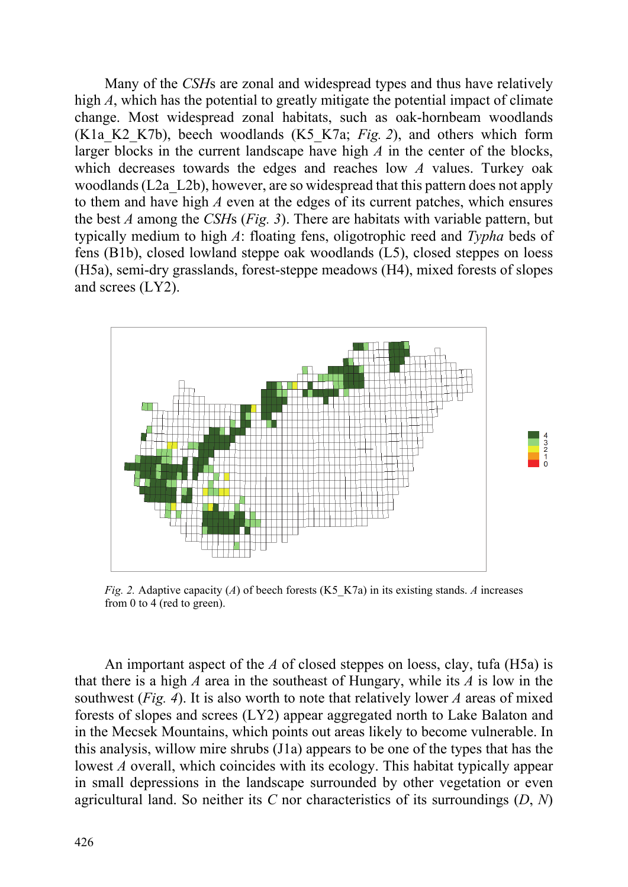Many of the *CSH*s are zonal and widespread types and thus have relatively high *A*, which has the potential to greatly mitigate the potential impact of climate change. Most widespread zonal habitats, such as oak-hornbeam woodlands (K1a\_K2\_K7b), beech woodlands (K5\_K7a; *Fig. 2*), and others which form larger blocks in the current landscape have high *A* in the center of the blocks, which decreases towards the edges and reaches low *A* values. Turkey oak woodlands (L2a\_L2b), however, are so widespread that this pattern does not apply to them and have high *A* even at the edges of its current patches, which ensures the best *A* among the *CSH*s (*Fig. 3*). There are habitats with variable pattern, but typically medium to high *A*: floating fens, oligotrophic reed and *Typha* beds of fens (B1b), closed lowland steppe oak woodlands (L5), closed steppes on loess (H5a), semi-dry grasslands, forest-steppe meadows (H4), mixed forests of slopes and screes (LY2).



*Fig. 2.* Adaptive capacity (*A*) of beech forests (K5\_K7a) in its existing stands. *A* increases from 0 to 4 (red to green).

An important aspect of the *A* of closed steppes on loess, clay, tufa (H5a) is that there is a high *A* area in the southeast of Hungary, while its *A* is low in the southwest (*Fig. 4*). It is also worth to note that relatively lower *A* areas of mixed forests of slopes and screes (LY2) appear aggregated north to Lake Balaton and in the Mecsek Mountains, which points out areas likely to become vulnerable. In this analysis, willow mire shrubs (J1a) appears to be one of the types that has the lowest *A* overall, which coincides with its ecology. This habitat typically appear in small depressions in the landscape surrounded by other vegetation or even agricultural land. So neither its *C* nor characteristics of its surroundings (*D*, *N*)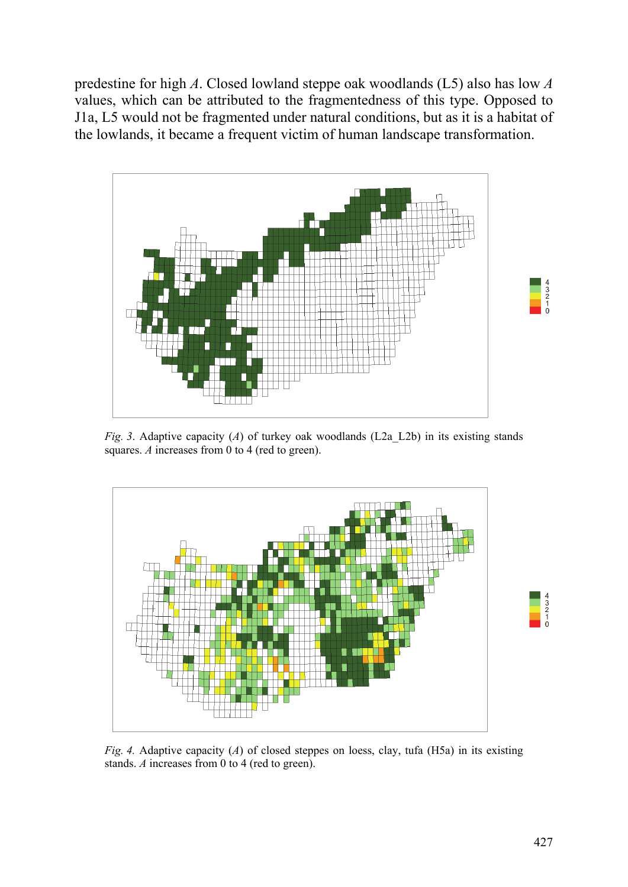predestine for high *A*. Closed lowland steppe oak woodlands (L5) also has low *A* values, which can be attributed to the fragmentedness of this type. Opposed to J1a, L5 would not be fragmented under natural conditions, but as it is a habitat of the lowlands, it became a frequent victim of human landscape transformation.



*Fig. 3.* Adaptive capacity (*A*) of turkey oak woodlands (L2a L2b) in its existing stands squares. *A* increases from 0 to 4 (red to green).



*Fig. 4.* Adaptive capacity (*A*) of closed steppes on loess, clay, tufa (H5a) in its existing stands. *A* increases from 0 to 4 (red to green).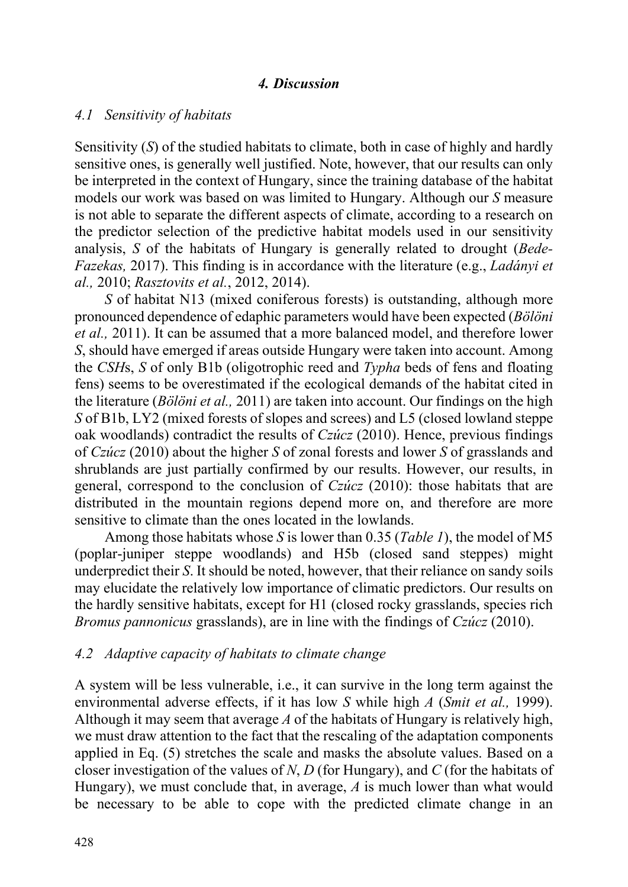### *4. Discussion*

### *4.1 Sensitivity of habitats*

Sensitivity (*S*) of the studied habitats to climate, both in case of highly and hardly sensitive ones, is generally well justified. Note, however, that our results can only be interpreted in the context of Hungary, since the training database of the habitat models our work was based on was limited to Hungary. Although our *S* measure is not able to separate the different aspects of climate, according to a research on the predictor selection of the predictive habitat models used in our sensitivity analysis, *S* of the habitats of Hungary is generally related to drought (*Bede-Fazekas,* 2017). This finding is in accordance with the literature (e.g., *Ladányi et al.,* 2010; *Rasztovits et al.*, 2012, 2014).

*S* of habitat N13 (mixed coniferous forests) is outstanding, although more pronounced dependence of edaphic parameters would have been expected (*Bölöni et al.,* 2011). It can be assumed that a more balanced model, and therefore lower *S*, should have emerged if areas outside Hungary were taken into account. Among the *CSH*s, *S* of only B1b (oligotrophic reed and *Typha* beds of fens and floating fens) seems to be overestimated if the ecological demands of the habitat cited in the literature (*Bölöni et al.,* 2011) are taken into account. Our findings on the high *S* of B1b, LY2 (mixed forests of slopes and screes) and L5 (closed lowland steppe oak woodlands) contradict the results of *Czúcz* (2010). Hence, previous findings of *Czúcz* (2010) about the higher *S* of zonal forests and lower *S* of grasslands and shrublands are just partially confirmed by our results. However, our results, in general, correspond to the conclusion of *Czúcz* (2010): those habitats that are distributed in the mountain regions depend more on, and therefore are more sensitive to climate than the ones located in the lowlands.

Among those habitats whose *S* is lower than 0.35 (*Table 1*), the model of M5 (poplar-juniper steppe woodlands) and H5b (closed sand steppes) might underpredict their *S*. It should be noted, however, that their reliance on sandy soils may elucidate the relatively low importance of climatic predictors. Our results on the hardly sensitive habitats, except for H1 (closed rocky grasslands, species rich *Bromus pannonicus* grasslands), are in line with the findings of *Czúcz* (2010).

### *4.2 Adaptive capacity of habitats to climate change*

A system will be less vulnerable, i.e., it can survive in the long term against the environmental adverse effects, if it has low *S* while high *A* (*Smit et al.,* 1999). Although it may seem that average *A* of the habitats of Hungary is relatively high, we must draw attention to the fact that the rescaling of the adaptation components applied in Eq. (5) stretches the scale and masks the absolute values. Based on a closer investigation of the values of *N*, *D* (for Hungary), and *C* (for the habitats of Hungary), we must conclude that, in average, *A* is much lower than what would be necessary to be able to cope with the predicted climate change in an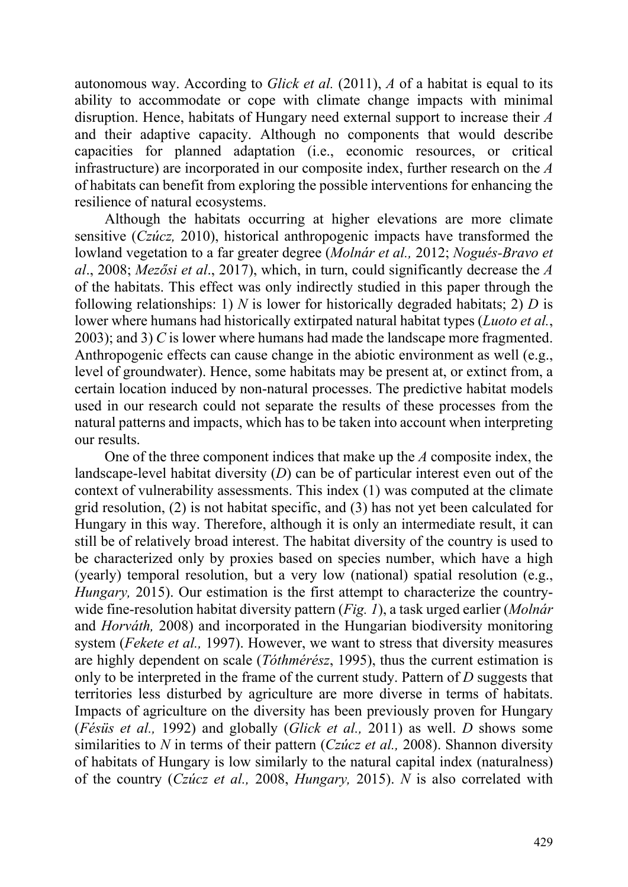autonomous way. According to *Glick et al.* (2011), *A* of a habitat is equal to its ability to accommodate or cope with climate change impacts with minimal disruption. Hence, habitats of Hungary need external support to increase their *A* and their adaptive capacity. Although no components that would describe capacities for planned adaptation (i.e., economic resources, or critical infrastructure) are incorporated in our composite index, further research on the *A* of habitats can benefit from exploring the possible interventions for enhancing the resilience of natural ecosystems.

Although the habitats occurring at higher elevations are more climate sensitive (*Czúcz,* 2010), historical anthropogenic impacts have transformed the lowland vegetation to a far greater degree (*Molnár et al.,* 2012; *Nogués-Bravo et al*., 2008; *Mezősi et al*., 2017), which, in turn, could significantly decrease the *A* of the habitats. This effect was only indirectly studied in this paper through the following relationships: 1) *N* is lower for historically degraded habitats; 2) *D* is lower where humans had historically extirpated natural habitat types (*Luoto et al.*, 2003); and 3) *C* is lower where humans had made the landscape more fragmented. Anthropogenic effects can cause change in the abiotic environment as well (e.g., level of groundwater). Hence, some habitats may be present at, or extinct from, a certain location induced by non-natural processes. The predictive habitat models used in our research could not separate the results of these processes from the natural patterns and impacts, which has to be taken into account when interpreting our results.

One of the three component indices that make up the *A* composite index, the landscape-level habitat diversity (*D*) can be of particular interest even out of the context of vulnerability assessments. This index (1) was computed at the climate grid resolution, (2) is not habitat specific, and (3) has not yet been calculated for Hungary in this way. Therefore, although it is only an intermediate result, it can still be of relatively broad interest. The habitat diversity of the country is used to be characterized only by proxies based on species number, which have a high (yearly) temporal resolution, but a very low (national) spatial resolution (e.g., *Hungary, 2015*). Our estimation is the first attempt to characterize the countrywide fine-resolution habitat diversity pattern (*Fig. 1*), a task urged earlier (*Molnár*  and *Horváth,* 2008) and incorporated in the Hungarian biodiversity monitoring system (*Fekete et al.,* 1997). However, we want to stress that diversity measures are highly dependent on scale (*Tóthmérész*, 1995), thus the current estimation is only to be interpreted in the frame of the current study. Pattern of *D* suggests that territories less disturbed by agriculture are more diverse in terms of habitats. Impacts of agriculture on the diversity has been previously proven for Hungary (*Fésüs et al.,* 1992) and globally (*Glick et al.,* 2011) as well. *D* shows some similarities to *N* in terms of their pattern (*Czúcz et al.,* 2008). Shannon diversity of habitats of Hungary is low similarly to the natural capital index (naturalness) of the country (*Czúcz et al.,* 2008, *Hungary,* 2015). *N* is also correlated with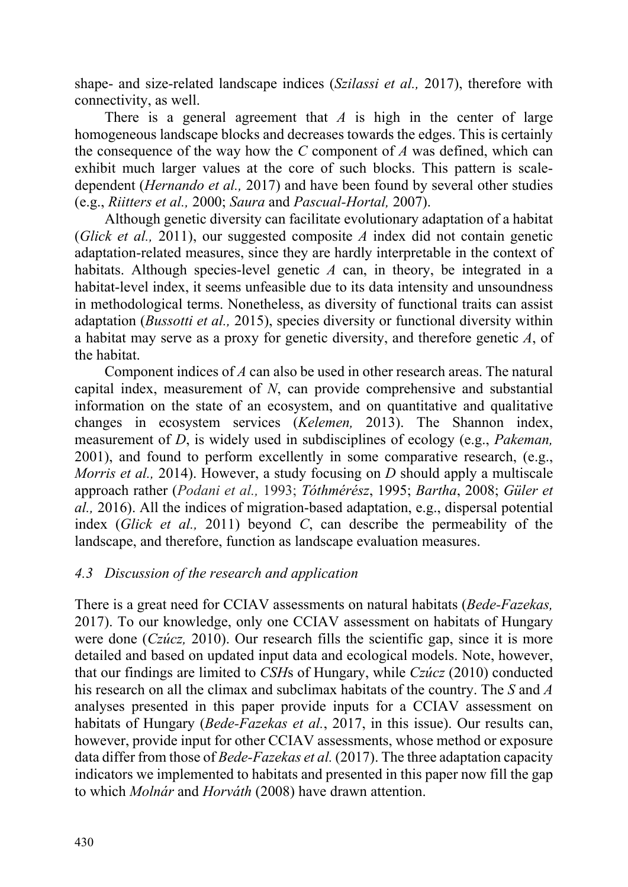shape- and size-related landscape indices (*Szilassi et al.,* 2017), therefore with connectivity, as well.

There is a general agreement that *A* is high in the center of large homogeneous landscape blocks and decreases towards the edges. This is certainly the consequence of the way how the *C* component of *A* was defined, which can exhibit much larger values at the core of such blocks. This pattern is scaledependent (*Hernando et al.,* 2017) and have been found by several other studies (e.g., *Riitters et al.,* 2000; *Saura* and *Pascual-Hortal,* 2007).

Although genetic diversity can facilitate evolutionary adaptation of a habitat (*Glick et al.,* 2011), our suggested composite *A* index did not contain genetic adaptation-related measures, since they are hardly interpretable in the context of habitats. Although species-level genetic *A* can, in theory, be integrated in a habitat-level index, it seems unfeasible due to its data intensity and unsoundness in methodological terms. Nonetheless, as diversity of functional traits can assist adaptation (*Bussotti et al.,* 2015), species diversity or functional diversity within a habitat may serve as a proxy for genetic diversity, and therefore genetic *A*, of the habitat.

Component indices of *A* can also be used in other research areas. The natural capital index, measurement of *N*, can provide comprehensive and substantial information on the state of an ecosystem, and on quantitative and qualitative changes in ecosystem services (*Kelemen,* 2013). The Shannon index, measurement of *D*, is widely used in subdisciplines of ecology (e.g., *Pakeman,* 2001), and found to perform excellently in some comparative research, (e.g., *Morris et al.,* 2014). However, a study focusing on *D* should apply a multiscale approach rather (*Podani et al.,* 1993; *Tóthmérész*, 1995; *Bartha*, 2008; *Güler et al.,* 2016). All the indices of migration-based adaptation, e.g., dispersal potential index (*Glick et al.,* 2011) beyond *C*, can describe the permeability of the landscape, and therefore, function as landscape evaluation measures.

# *4.3 Discussion of the research and application*

There is a great need for CCIAV assessments on natural habitats (*Bede-Fazekas,* 2017). To our knowledge, only one CCIAV assessment on habitats of Hungary were done (*Czúcz,* 2010). Our research fills the scientific gap, since it is more detailed and based on updated input data and ecological models. Note, however, that our findings are limited to *CSH*s of Hungary, while *Czúcz* (2010) conducted his research on all the climax and subclimax habitats of the country. The *S* and *A* analyses presented in this paper provide inputs for a CCIAV assessment on habitats of Hungary (*Bede-Fazekas et al.*, 2017, in this issue). Our results can, however, provide input for other CCIAV assessments, whose method or exposure data differ from those of *Bede-Fazekas et al.* (2017). The three adaptation capacity indicators we implemented to habitats and presented in this paper now fill the gap to which *Molnár* and *Horváth* (2008) have drawn attention.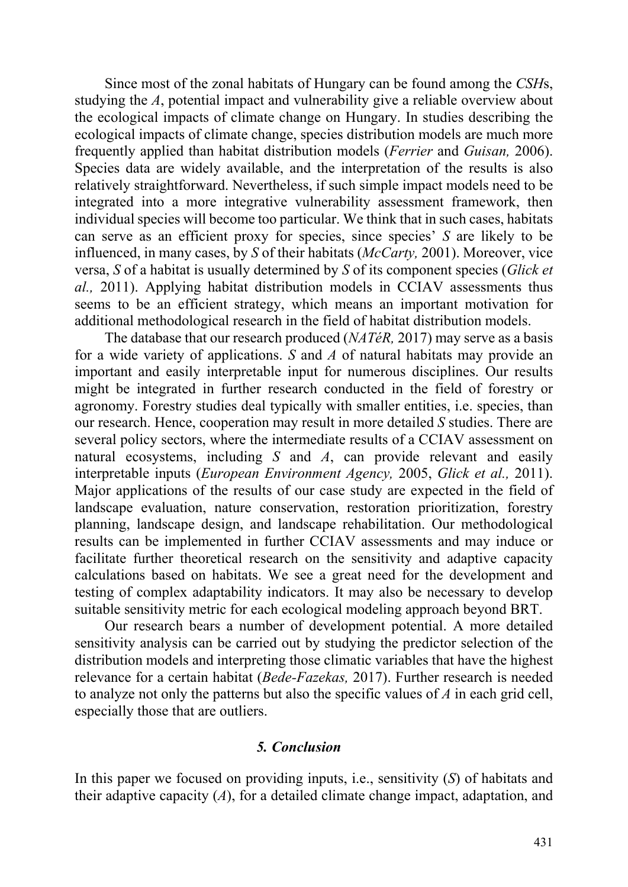Since most of the zonal habitats of Hungary can be found among the *CSH*s, studying the *A*, potential impact and vulnerability give a reliable overview about the ecological impacts of climate change on Hungary. In studies describing the ecological impacts of climate change, species distribution models are much more frequently applied than habitat distribution models (*Ferrier* and *Guisan,* 2006). Species data are widely available, and the interpretation of the results is also relatively straightforward. Nevertheless, if such simple impact models need to be integrated into a more integrative vulnerability assessment framework, then individual species will become too particular. We think that in such cases, habitats can serve as an efficient proxy for species, since species' *S* are likely to be influenced, in many cases, by *S* of their habitats (*McCarty,* 2001). Moreover, vice versa, *S* of a habitat is usually determined by *S* of its component species (*Glick et al.,* 2011). Applying habitat distribution models in CCIAV assessments thus seems to be an efficient strategy, which means an important motivation for additional methodological research in the field of habitat distribution models.

The database that our research produced (*NATéR,* 2017) may serve as a basis for a wide variety of applications. *S* and *A* of natural habitats may provide an important and easily interpretable input for numerous disciplines. Our results might be integrated in further research conducted in the field of forestry or agronomy. Forestry studies deal typically with smaller entities, i.e. species, than our research. Hence, cooperation may result in more detailed *S* studies. There are several policy sectors, where the intermediate results of a CCIAV assessment on natural ecosystems, including *S* and *A*, can provide relevant and easily interpretable inputs (*European Environment Agency,* 2005, *Glick et al.,* 2011). Major applications of the results of our case study are expected in the field of landscape evaluation, nature conservation, restoration prioritization, forestry planning, landscape design, and landscape rehabilitation. Our methodological results can be implemented in further CCIAV assessments and may induce or facilitate further theoretical research on the sensitivity and adaptive capacity calculations based on habitats. We see a great need for the development and testing of complex adaptability indicators. It may also be necessary to develop suitable sensitivity metric for each ecological modeling approach beyond BRT.

Our research bears a number of development potential. A more detailed sensitivity analysis can be carried out by studying the predictor selection of the distribution models and interpreting those climatic variables that have the highest relevance for a certain habitat (*Bede-Fazekas,* 2017). Further research is needed to analyze not only the patterns but also the specific values of *A* in each grid cell, especially those that are outliers.

### *5. Conclusion*

In this paper we focused on providing inputs, i.e., sensitivity (*S*) of habitats and their adaptive capacity (*A*), for a detailed climate change impact, adaptation, and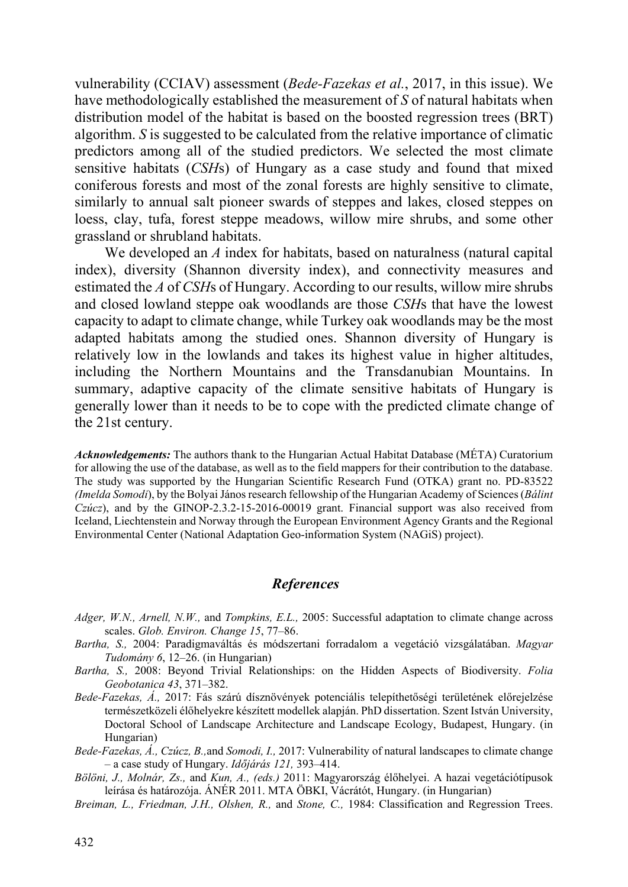vulnerability (CCIAV) assessment (*Bede-Fazekas et al.*, 2017, in this issue). We have methodologically established the measurement of *S* of natural habitats when distribution model of the habitat is based on the boosted regression trees (BRT) algorithm. *S* is suggested to be calculated from the relative importance of climatic predictors among all of the studied predictors. We selected the most climate sensitive habitats (*CSH*s) of Hungary as a case study and found that mixed coniferous forests and most of the zonal forests are highly sensitive to climate, similarly to annual salt pioneer swards of steppes and lakes, closed steppes on loess, clay, tufa, forest steppe meadows, willow mire shrubs, and some other grassland or shrubland habitats.

We developed an *A* index for habitats, based on naturalness (natural capital index), diversity (Shannon diversity index), and connectivity measures and estimated the *A* of *CSH*s of Hungary. According to our results, willow mire shrubs and closed lowland steppe oak woodlands are those *CSH*s that have the lowest capacity to adapt to climate change, while Turkey oak woodlands may be the most adapted habitats among the studied ones. Shannon diversity of Hungary is relatively low in the lowlands and takes its highest value in higher altitudes, including the Northern Mountains and the Transdanubian Mountains. In summary, adaptive capacity of the climate sensitive habitats of Hungary is generally lower than it needs to be to cope with the predicted climate change of the 21st century.

*Acknowledgements:* The authors thank to the Hungarian Actual Habitat Database (MÉTA) Curatorium for allowing the use of the database, as well as to the field mappers for their contribution to the database. The study was supported by the Hungarian Scientific Research Fund (OTKA) grant no. PD-83522 *(Imelda Somodi*), by the Bolyai János research fellowship of the Hungarian Academy of Sciences (*Bálint Czúcz*), and by the GINOP-2.3.2-15-2016-00019 grant. Financial support was also received from Iceland, Liechtenstein and Norway through the European Environment Agency Grants and the Regional Environmental Center (National Adaptation Geo-information System (NAGiS) project).

### *References*

- *Adger, W.N., Arnell, N.W.,* and *Tompkins, E.L.,* 2005: Successful adaptation to climate change across scales. *Glob. Environ. Change 15*, 77–86.
- *Bartha, S.,* 2004: Paradigmaváltás és módszertani forradalom a vegetáció vizsgálatában. *Magyar Tudomány 6*, 12–26. (in Hungarian)
- *Bartha, S.,* 2008: Beyond Trivial Relationships: on the Hidden Aspects of Biodiversity. *Folia Geobotanica 43*, 371–382.
- *Bede-Fazekas, Á.,* 2017: Fás szárú dísznövények potenciális telepíthetőségi területének előrejelzése természetközeli élőhelyekre készített modellek alapján. PhD dissertation. Szent István University, Doctoral School of Landscape Architecture and Landscape Ecology, Budapest, Hungary. (in Hungarian)
- *Bede-Fazekas, Á., Czúcz, B.,*and *Somodi, I.,* 2017: Vulnerability of natural landscapes to climate change – a case study of Hungary. *Időjárás 121,* 393–414.
- *Bölöni, J., Molnár, Zs.,* and *Kun, A., (eds.)* 2011: Magyarország élőhelyei. A hazai vegetációtípusok leírása és határozója. ÁNÉR 2011. MTA ÖBKI, Vácrátót, Hungary. (in Hungarian)
- *Breiman, L., Friedman, J.H., Olshen, R.,* and *Stone, C.,* 1984: Classification and Regression Trees.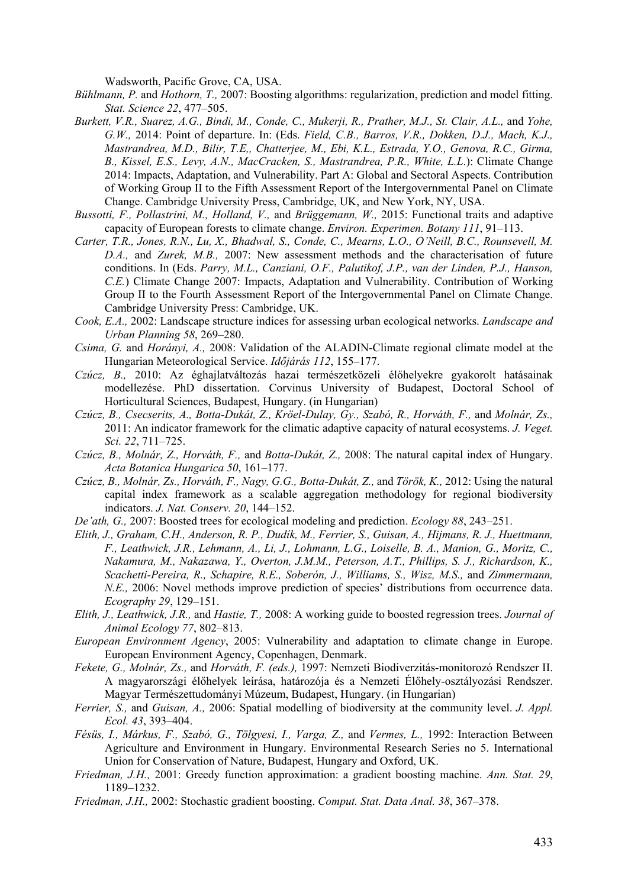Wadsworth, Pacific Grove, CA, USA.

- *Bühlmann, P.* and *Hothorn, T.,* 2007: Boosting algorithms: regularization, prediction and model fitting. *Stat. Science 22*, 477–505.
- *Burkett, V.R., Suarez, A.G., Bindi, M., Conde, C., Mukerji, R., Prather, M.J., St. Clair, A.L.,* and *Yohe, G.W.,* 2014: Point of departure. In: (Eds. *Field, C.B., Barros, V.R., Dokken, D.J., Mach, K.J., Mastrandrea, M.D., Bilir, T.E,, Chatterjee, M., Ebi, K.L., Estrada, Y.O., Genova, R.C., Girma, B., Kissel, E.S., Levy, A.N., MacCracken, S., Mastrandrea, P.R., White, L.L*.): Climate Change 2014: Impacts, Adaptation, and Vulnerability. Part A: Global and Sectoral Aspects. Contribution of Working Group II to the Fifth Assessment Report of the Intergovernmental Panel on Climate Change. Cambridge University Press, Cambridge, UK, and New York, NY, USA.
- *Bussotti, F., Pollastrini, M., Holland, V.,* and *Brüggemann, W.,* 2015: Functional traits and adaptive capacity of European forests to climate change. *Environ. Experimen. Botany 111*, 91–113.
- *Carter, T.R., Jones, R.N., Lu, X., Bhadwal, S., Conde, C., Mearns, L.O., O'Neill, B.C., Rounsevell, M. D.A.,* and *Zurek, M.B.,* 2007: New assessment methods and the characterisation of future conditions. In (Eds. *Parry, M.L., Canziani, O.F., Palutikof, J.P., van der Linden, P.J., Hanson, C.E.*) Climate Change 2007: Impacts, Adaptation and Vulnerability. Contribution of Working Group II to the Fourth Assessment Report of the Intergovernmental Panel on Climate Change. Cambridge University Press: Cambridge, UK.
- *Cook, E.A.,* 2002: Landscape structure indices for assessing urban ecological networks. *Landscape and Urban Planning 58*, 269–280.
- *Csima, G.* and *Horányi, A.,* 2008: Validation of the ALADIN-Climate regional climate model at the Hungarian Meteorological Service. *Időjárás 112*, 155–177.
- *Czúcz, B.,* 2010: Az éghajlatváltozás hazai természetközeli élőhelyekre gyakorolt hatásainak modellezése. PhD dissertation. Corvinus University of Budapest, Doctoral School of Horticultural Sciences, Budapest, Hungary. (in Hungarian)
- *Czúcz, B., Csecserits, A., Botta-Dukát, Z., Kröel-Dulay, Gy., Szabó, R., Horváth, F.,* and *Molnár, Zs.,* 2011: An indicator framework for the climatic adaptive capacity of natural ecosystems. *J. Veget. Sci. 22*, 711–725.
- *Czúcz, B., Molnár, Z., Horváth, F.,* and *Botta-Dukát, Z.,* 2008: The natural capital index of Hungary. *Acta Botanica Hungarica 50*, 161–177.
- *Czúcz, B., Molnár, Zs., Horváth, F., Nagy, G.G., Botta-Dukát, Z.,* and *Török, K.,* 2012: Using the natural capital index framework as a scalable aggregation methodology for regional biodiversity indicators. *J. Nat. Conserv. 20*, 144–152.
- *De'ath, G.,* 2007: Boosted trees for ecological modeling and prediction. *Ecology 88*, 243–251.
- *Elith, J., Graham, C.H., Anderson, R. P., Dudík, M., Ferrier, S., Guisan, A., Hijmans, R. J., Huettmann, F., Leathwick, J.R., Lehmann, A., Li, J., Lohmann, L.G., Loiselle, B. A., Manion, G., Moritz, C., Nakamura, M., Nakazawa, Y., Overton, J.M.M., Peterson, A.T., Phillips, S. J., Richardson, K., Scachetti-Pereira, R., Schapire, R.E., Soberón, J., Williams, S., Wisz, M.S.,* and *Zimmermann, N.E.*, 2006: Novel methods improve prediction of species' distributions from occurrence data. *Ecography 29*, 129–151.
- *Elith, J., Leathwick, J.R.,* and *Hastie, T.,* 2008: A working guide to boosted regression trees. *Journal of Animal Ecology 77*, 802–813.
- *European Environment Agency*, 2005: Vulnerability and adaptation to climate change in Europe. European Environment Agency, Copenhagen, Denmark.
- *Fekete, G., Molnár, Zs.,* and *Horváth, F. (eds.),* 1997: Nemzeti Biodiverzitás-monitorozó Rendszer II. A magyarországi élőhelyek leírása, határozója és a Nemzeti Élőhely-osztályozási Rendszer. Magyar Természettudományi Múzeum, Budapest, Hungary. (in Hungarian)
- *Ferrier, S.,* and *Guisan, A.,* 2006: Spatial modelling of biodiversity at the community level. *J. Appl. Ecol. 43*, 393–404.
- *Fésüs, I., Márkus, F., Szabó, G., Tölgyesi, I., Varga, Z.,* and *Vermes, L.,* 1992: Interaction Between Agriculture and Environment in Hungary. Environmental Research Series no 5. International Union for Conservation of Nature, Budapest, Hungary and Oxford, UK.
- *Friedman, J.H.,* 2001: Greedy function approximation: a gradient boosting machine. *Ann. Stat. 29*, 1189–1232.
- *Friedman, J.H.,* 2002: Stochastic gradient boosting. *Comput. Stat. Data Anal. 38*, 367–378.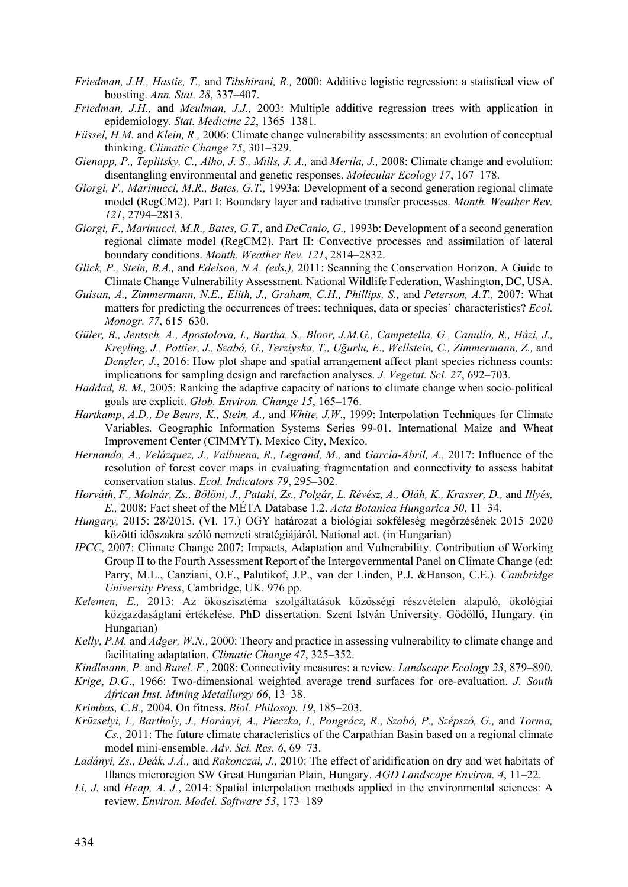- *Friedman, J.H., Hastie, T.,* and *Tibshirani, R.,* 2000: Additive logistic regression: a statistical view of boosting. *Ann. Stat. 28*, 337–407.
- *Friedman, J.H.,* and *Meulman, J.J.,* 2003: Multiple additive regression trees with application in epidemiology. *Stat. Medicine 22*, 1365–1381.
- *Füssel, H.M.* and *Klein, R.,* 2006: Climate change vulnerability assessments: an evolution of conceptual thinking. *Climatic Change 75*, 301–329.
- *Gienapp, P., Teplitsky, C., Alho, J. S., Mills, J. A.,* and *Merila, J.,* 2008: Climate change and evolution: disentangling environmental and genetic responses. *Molecular Ecology 17*, 167–178.
- *Giorgi, F., Marinucci, M.R., Bates, G.T.,* 1993a: Development of a second generation regional climate model (RegCM2). Part I: Boundary layer and radiative transfer processes. *Month. Weather Rev. 121*, 2794–2813.
- *Giorgi, F., Marinucci, M.R., Bates, G.T.,* and *DeCanio, G.,* 1993b: Development of a second generation regional climate model (RegCM2). Part II: Convective processes and assimilation of lateral boundary conditions. *Month. Weather Rev. 121*, 2814–2832.
- *Glick, P., Stein, B.A.,* and *Edelson, N.A. (eds.),* 2011: Scanning the Conservation Horizon. A Guide to Climate Change Vulnerability Assessment. National Wildlife Federation, Washington, DC, USA.
- *Guisan, A., Zimmermann, N.E., Elith, J., Graham, C.H., Phillips, S.,* and *Peterson, A.T.,* 2007: What matters for predicting the occurrences of trees: techniques, data or species' characteristics? *Ecol. Monogr. 77*, 615–630.
- *Güler, B., Jentsch, A., Apostolova, I., Bartha, S., Bloor, J.M.G., Campetella, G., Canullo, R., Házi, J., Kreyling, J., Pottier, J., Szabó, G., Terziyska, T., Uğurlu, E., Wellstein, C., Zimmermann, Z.,* and *Dengler, J.*, 2016: How plot shape and spatial arrangement affect plant species richness counts: implications for sampling design and rarefaction analyses. *J. Vegetat. Sci. 27*, 692–703.
- *Haddad, B. M.,* 2005: Ranking the adaptive capacity of nations to climate change when socio-political goals are explicit. *Glob. Environ. Change 15*, 165–176.
- *Hartkamp*, *A.D., De Beurs, K., Stein, A.,* and *White, J.W*., 1999: Interpolation Techniques for Climate Variables. Geographic Information Systems Series 99-01. International Maize and Wheat Improvement Center (CIMMYT). Mexico City, Mexico.
- *Hernando, A., Velázquez, J., Valbuena, R., Legrand, M.,* and *García-Abril, A.,* 2017: Influence of the resolution of forest cover maps in evaluating fragmentation and connectivity to assess habitat conservation status. *Ecol. Indicators 79*, 295–302.
- *Horváth, F., Molnár, Zs., Bölöni, J., Pataki, Zs., Polgár, L. Révész, A., Oláh, K., Krasser, D.,* and *Illyés, E.,* 2008: Fact sheet of the MÉTA Database 1.2. *Acta Botanica Hungarica 50*, 11–34.
- *Hungary,* 2015: 28/2015. (VI. 17.) OGY határozat a biológiai sokféleség megőrzésének 2015–2020 közötti időszakra szóló nemzeti stratégiájáról. National act. (in Hungarian)
- *IPCC*, 2007: Climate Change 2007: Impacts, Adaptation and Vulnerability. Contribution of Working Group II to the Fourth Assessment Report of the Intergovernmental Panel on Climate Change (ed: Parry, M.L., Canziani, O.F., Palutikof, J.P., van der Linden, P.J. &Hanson, C.E.). *Cambridge University Press*, Cambridge, UK. 976 pp.
- *Kelemen, E.,* 2013: Az ökoszisztéma szolgáltatások közösségi részvételen alapuló, ökológiai közgazdaságtani értékelése. PhD dissertation. Szent István University. Gödöllő, Hungary. (in Hungarian)
- *Kelly, P.M.* and *Adger, W.N.,* 2000: Theory and practice in assessing vulnerability to climate change and facilitating adaptation. *Climatic Change 47*, 325–352.
- *Kindlmann, P.* and *Burel. F.*, 2008: Connectivity measures: a review. *Landscape Ecology 23*, 879–890.
- *Krige*, *D.G*., 1966: Two-dimensional weighted average trend surfaces for ore-evaluation. *J. South African Inst. Mining Metallurgy 66*, 13–38.
- *Krimbas, C.B.,* 2004. On fitness. *Biol. Philosop. 19*, 185–203.
- *Krüzselyi, I., Bartholy, J., Horányi, A., Pieczka, I., Pongrácz, R., Szabó, P., Szépszó, G.,* and *Torma, Cs.,* 2011: The future climate characteristics of the Carpathian Basin based on a regional climate model mini-ensemble. *Adv. Sci. Res. 6*, 69–73.
- *Ladányi, Zs., Deák, J.Á.,* and *Rakonczai, J.,* 2010: The effect of aridification on dry and wet habitats of Illancs microregion SW Great Hungarian Plain, Hungary. *AGD Landscape Environ. 4*, 11–22.
- *Li, J.* and *Heap, A. J.*, 2014: Spatial interpolation methods applied in the environmental sciences: A review. *Environ. Model. Software 53*, 173–189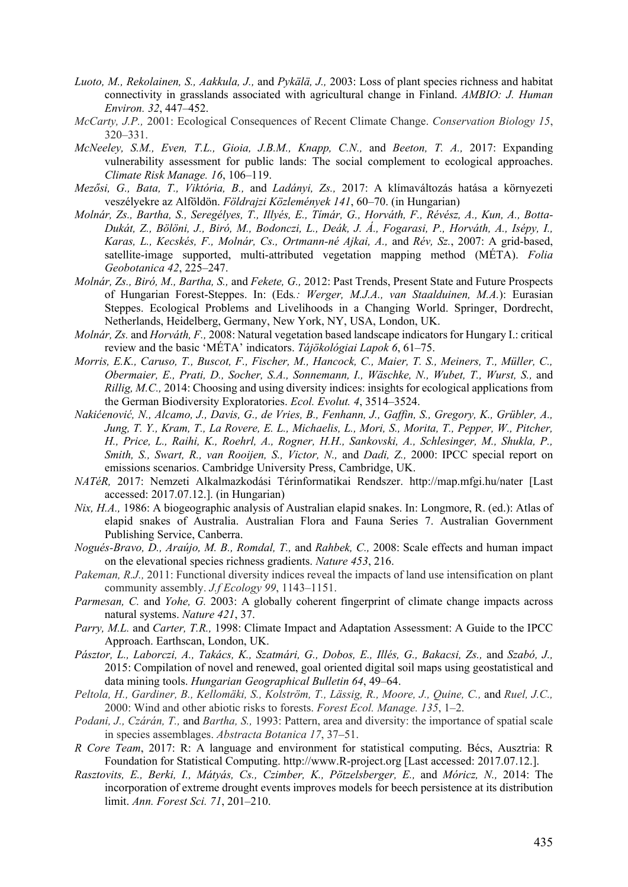- *Luoto, M., Rekolainen, S., Aakkula, J.,* and *Pykälä, J.,* 2003: Loss of plant species richness and habitat connectivity in grasslands associated with agricultural change in Finland. *AMBIO: J. Human Environ. 32*, 447–452.
- *McCarty, J.P.,* 2001: Ecological Consequences of Recent Climate Change. *Conservation Biology 15*, 320–331.
- *McNeeley, S.M., Even, T.L., Gioia, J.B.M., Knapp, C.N.,* and *Beeton, T. A.,* 2017: Expanding vulnerability assessment for public lands: The social complement to ecological approaches. *Climate Risk Manage. 16*, 106–119.
- *Mezősi, G., Bata, T., Viktória, B.,* and *Ladányi, Zs.,* 2017: A klímaváltozás hatása a környezeti veszélyekre az Alföldön. *Földrajzi Közlemények 141*, 60–70. (in Hungarian)
- *Molnár, Zs., Bartha, S., Seregélyes, T., Illyés, E., Tímár, G., Horváth, F., Révész, A., Kun, A., Botta-Dukát, Z., Bölöni, J., Biró, M., Bodonczi, L., Deák, J. Á., Fogarasi, P., Horváth, A., Isépy, I., Karas, L., Kecskés, F., Molnár, Cs., Ortmann-né Ajkai, A.,* and *Rév, Sz.*, 2007: A grid-based, satellite-image supported, multi-attributed vegetation mapping method (MÉTA). *Folia Geobotanica 42*, 225–247.
- *Molnár, Zs., Biró, M., Bartha, S.,* and *Fekete, G.,* 2012: Past Trends, Present State and Future Prospects of Hungarian Forest-Steppes. In: (Eds*.: Werger, M.J.A., van Staalduinen, M.A.*): Eurasian Steppes. Ecological Problems and Livelihoods in a Changing World. Springer, Dordrecht, Netherlands, Heidelberg, Germany, New York, NY, USA, London, UK.
- *Molnár, Zs.* and *Horváth, F.,* 2008: Natural vegetation based landscape indicators for Hungary I.: critical review and the basic 'MÉTA' indicators. *Tájökológiai Lapok 6*, 61–75.
- *Morris, E.K., Caruso, T., Buscot, F., Fischer, M., Hancock, C., Maier, T. S., Meiners, T., Müller, C., Obermaier, E., Prati, D., Socher, S.A., Sonnemann, I., Wäschke, N., Wubet, T., Wurst, S.,* and *Rillig, M.C.,* 2014: Choosing and using diversity indices: insights for ecological applications from the German Biodiversity Exploratories. *Ecol. Evolut. 4*, 3514–3524.
- *Nakićenović, N., Alcamo, J., Davis, G., de Vries, B., Fenhann, J., Gaffin, S., Gregory, K., Grübler, A., Jung, T. Y., Kram, T., La Rovere, E. L., Michaelis, L., Mori, S., Morita, T., Pepper, W., Pitcher, H., Price, L., Raihi, K., Roehrl, A., Rogner, H.H., Sankovski, A., Schlesinger, M., Shukla, P., Smith, S., Swart, R., van Rooijen, S., Victor, N.,* and *Dadi, Z.,* 2000: IPCC special report on emissions scenarios. Cambridge University Press, Cambridge, UK.
- *NATéR,* 2017: Nemzeti Alkalmazkodási Térinformatikai Rendszer. http://map.mfgi.hu/nater [Last accessed: 2017.07.12.]. (in Hungarian)
- *Nix, H.A.,* 1986: A biogeographic analysis of Australian elapid snakes. In: Longmore, R. (ed.): Atlas of elapid snakes of Australia. Australian Flora and Fauna Series 7. Australian Government Publishing Service, Canberra.
- *Nogués-Bravo, D., Araújo, M. B., Romdal, T.,* and *Rahbek, C.,* 2008: Scale effects and human impact on the elevational species richness gradients. *Nature 453*, 216.
- *Pakeman, R.J.,* 2011: Functional diversity indices reveal the impacts of land use intensification on plant community assembly. *J.f Ecology 99*, 1143–1151.
- *Parmesan, C.* and *Yohe, G.* 2003: A globally coherent fingerprint of climate change impacts across natural systems. *Nature 421*, 37.
- *Parry, M.L.* and *Carter, T.R.,* 1998: Climate Impact and Adaptation Assessment: A Guide to the IPCC Approach. Earthscan, London, UK.
- *Pásztor, L., Laborczi, A., Takács, K., Szatmári, G., Dobos, E., Illés, G., Bakacsi, Zs.,* and *Szabó, J.,* 2015: Compilation of novel and renewed, goal oriented digital soil maps using geostatistical and data mining tools. *Hungarian Geographical Bulletin 64*, 49–64.
- *Peltola, H., Gardiner, B., Kellomäki, S., Kolström, T., Lässig, R., Moore, J., Quine, C.,* and *Ruel, J.C.,* 2000: Wind and other abiotic risks to forests. *Forest Ecol. Manage. 135*, 1–2.
- *Podani, J., Czárán, T.,* and *Bartha, S.,* 1993: Pattern, area and diversity: the importance of spatial scale in species assemblages. *Abstracta Botanica 17*, 37–51.
- *R Core Team*, 2017: R: A language and environment for statistical computing. Bécs, Ausztria: R Foundation for Statistical Computing. http://www.R-project.org [Last accessed: 2017.07.12.].
- *Rasztovits, E., Berki, I., Mátyás, Cs., Czimber, K., Pötzelsberger, E.,* and *Móricz, N.,* 2014: The incorporation of extreme drought events improves models for beech persistence at its distribution limit. *Ann. Forest Sci. 71*, 201–210.